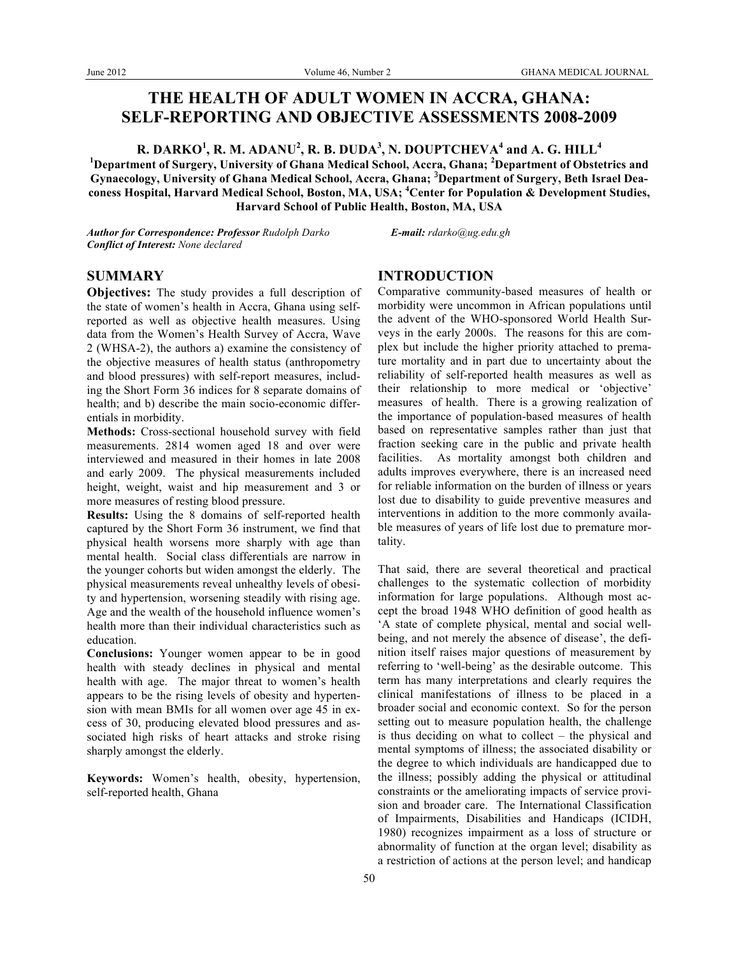# **THE HEALTH OF ADULT WOMEN IN ACCRA, GHANA: SELF-REPORTING AND OBJECTIVE ASSESSMENTS 2008-2009**

 ${\bf R}.$   ${\bf DARKO}^1,$   ${\bf R}.$   ${\bf M}.$   ${\bf ADANU}^2,$   ${\bf R}.$   ${\bf B}.$   ${\bf DUDA}^3,$   ${\bf N}.$   ${\bf DOUPTCHEVA}^4$  and  ${\bf A}.$   ${\bf G}.$   ${\bf HILL}^4$ **1 Department of Surgery, University of Ghana Medical School, Accra, Ghana; <sup>2</sup> Department of Obstetrics and Gynaecology, University of Ghana Medical School, Accra, Ghana;** <sup>3</sup> **Department of Surgery, Beth Israel Deaconess Hospital, Harvard Medical School, Boston, MA, USA; <sup>4</sup> Center for Population & Development Studies, Harvard School of Public Health, Boston, MA, USA**

*Author for Correspondence: Professor Rudolph Darko E-mail: rdarko@ug.edu.gh Conflict of Interest: None declared*

## **SUMMARY**

**Objectives:** The study provides a full description of the state of women's health in Accra, Ghana using selfreported as well as objective health measures. Using data from the Women's Health Survey of Accra, Wave 2 (WHSA-2), the authors a) examine the consistency of the objective measures of health status (anthropometry and blood pressures) with self-report measures, including the Short Form 36 indices for 8 separate domains of health; and b) describe the main socio-economic differentials in morbidity.

**Methods:** Cross-sectional household survey with field measurements. 2814 women aged 18 and over were interviewed and measured in their homes in late 2008 and early 2009. The physical measurements included height, weight, waist and hip measurement and 3 or more measures of resting blood pressure.

**Results:** Using the 8 domains of self-reported health captured by the Short Form 36 instrument, we find that physical health worsens more sharply with age than mental health. Social class differentials are narrow in the younger cohorts but widen amongst the elderly. The physical measurements reveal unhealthy levels of obesity and hypertension, worsening steadily with rising age. Age and the wealth of the household influence women's health more than their individual characteristics such as education.

**Conclusions:** Younger women appear to be in good health with steady declines in physical and mental health with age. The major threat to women's health appears to be the rising levels of obesity and hypertension with mean BMIs for all women over age 45 in excess of 30, producing elevated blood pressures and associated high risks of heart attacks and stroke rising sharply amongst the elderly.

**Keywords:** Women's health, obesity, hypertension, self-reported health, Ghana

# **INTRODUCTION**

Comparative community-based measures of health or morbidity were uncommon in African populations until the advent of the WHO-sponsored World Health Surveys in the early 2000s. The reasons for this are complex but include the higher priority attached to premature mortality and in part due to uncertainty about the reliability of self-reported health measures as well as their relationship to more medical or 'objective' measures of health. There is a growing realization of the importance of population-based measures of health based on representative samples rather than just that fraction seeking care in the public and private health facilities. As mortality amongst both children and adults improves everywhere, there is an increased need for reliable information on the burden of illness or years lost due to disability to guide preventive measures and interventions in addition to the more commonly available measures of years of life lost due to premature mortality.

That said, there are several theoretical and practical challenges to the systematic collection of morbidity information for large populations. Although most accept the broad 1948 WHO definition of good health as 'A state of complete physical, mental and social wellbeing, and not merely the absence of disease', the definition itself raises major questions of measurement by referring to 'well-being' as the desirable outcome. This term has many interpretations and clearly requires the clinical manifestations of illness to be placed in a broader social and economic context. So for the person setting out to measure population health, the challenge is thus deciding on what to collect – the physical and mental symptoms of illness; the associated disability or the degree to which individuals are handicapped due to the illness; possibly adding the physical or attitudinal constraints or the ameliorating impacts of service provision and broader care. The International Classification of Impairments, Disabilities and Handicaps (ICIDH, 1980) recognizes impairment as a loss of structure or abnormality of function at the organ level; disability as a restriction of actions at the person level; and handicap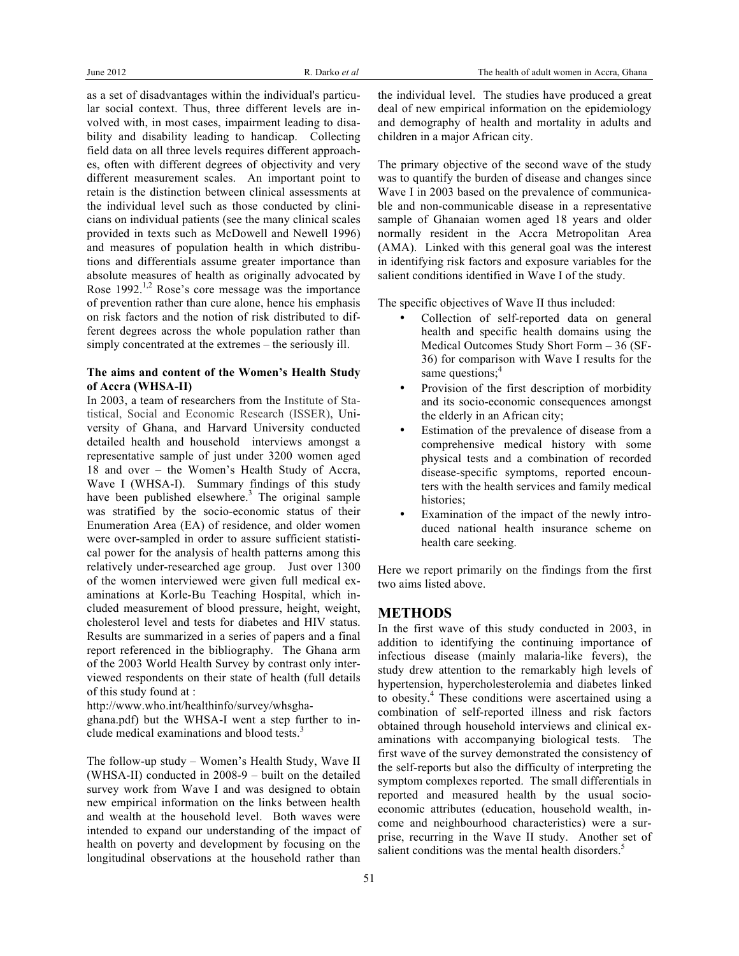as a set of disadvantages within the individual's particular social context. Thus, three different levels are involved with, in most cases, impairment leading to disability and disability leading to handicap. Collecting field data on all three levels requires different approaches, often with different degrees of objectivity and very different measurement scales. An important point to retain is the distinction between clinical assessments at the individual level such as those conducted by clinicians on individual patients (see the many clinical scales provided in texts such as McDowell and Newell 1996) and measures of population health in which distributions and differentials assume greater importance than absolute measures of health as originally advocated by Rose 1992.<sup>1,2</sup> Rose's core message was the importance of prevention rather than cure alone, hence his emphasis on risk factors and the notion of risk distributed to different degrees across the whole population rather than simply concentrated at the extremes – the seriously ill.

#### **The aims and content of the Women's Health Study of Accra (WHSA-II)**

In 2003, a team of researchers from the Institute of Statistical, Social and Economic Research (ISSER), University of Ghana, and Harvard University conducted detailed health and household interviews amongst a representative sample of just under 3200 women aged 18 and over – the Women's Health Study of Accra, Wave I (WHSA-I). Summary findings of this study have been published elsewhere.<sup>3</sup> The original sample was stratified by the socio-economic status of their Enumeration Area (EA) of residence, and older women were over-sampled in order to assure sufficient statistical power for the analysis of health patterns among this relatively under-researched age group. Just over 1300 of the women interviewed were given full medical examinations at Korle-Bu Teaching Hospital, which included measurement of blood pressure, height, weight, cholesterol level and tests for diabetes and HIV status. Results are summarized in a series of papers and a final report referenced in the bibliography. The Ghana arm of the 2003 World Health Survey by contrast only interviewed respondents on their state of health (full details of this study found at :

http://www.who.int/healthinfo/survey/whsgha-

ghana.pdf) but the WHSA-I went a step further to include medical examinations and blood tests. 3

The follow-up study – Women's Health Study, Wave II (WHSA-II) conducted in 2008-9 – built on the detailed survey work from Wave I and was designed to obtain new empirical information on the links between health and wealth at the household level. Both waves were intended to expand our understanding of the impact of health on poverty and development by focusing on the longitudinal observations at the household rather than the individual level. The studies have produced a great deal of new empirical information on the epidemiology and demography of health and mortality in adults and children in a major African city.

The primary objective of the second wave of the study was to quantify the burden of disease and changes since Wave I in 2003 based on the prevalence of communicable and non-communicable disease in a representative sample of Ghanaian women aged 18 years and older normally resident in the Accra Metropolitan Area (AMA). Linked with this general goal was the interest in identifying risk factors and exposure variables for the salient conditions identified in Wave I of the study.

The specific objectives of Wave II thus included:

- Collection of self-reported data on general health and specific health domains using the Medical Outcomes Study Short Form – 36 (SF-36) for comparison with Wave I results for the same questions; $4$
- Provision of the first description of morbidity and its socio-economic consequences amongst the elderly in an African city;
- Estimation of the prevalence of disease from a comprehensive medical history with some physical tests and a combination of recorded disease-specific symptoms, reported encounters with the health services and family medical histories;
- Examination of the impact of the newly introduced national health insurance scheme on health care seeking.

Here we report primarily on the findings from the first two aims listed above.

## **METHODS**

In the first wave of this study conducted in 2003, in addition to identifying the continuing importance of infectious disease (mainly malaria-like fevers), the study drew attention to the remarkably high levels of hypertension, hypercholesterolemia and diabetes linked to obesity.<sup>4</sup> These conditions were ascertained using a combination of self-reported illness and risk factors obtained through household interviews and clinical examinations with accompanying biological tests. The first wave of the survey demonstrated the consistency of the self-reports but also the difficulty of interpreting the symptom complexes reported. The small differentials in reported and measured health by the usual socioeconomic attributes (education, household wealth, income and neighbourhood characteristics) were a surprise, recurring in the Wave II study. Another set of salient conditions was the mental health disorders.<sup>5</sup>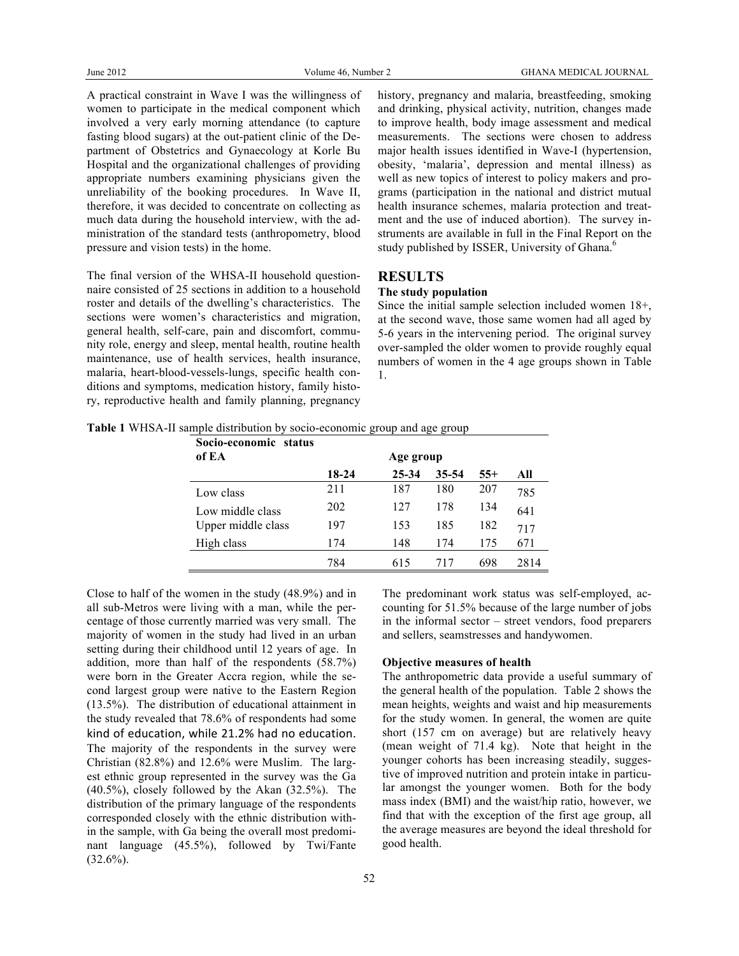A practical constraint in Wave I was the willingness of women to participate in the medical component which involved a very early morning attendance (to capture fasting blood sugars) at the out-patient clinic of the Department of Obstetrics and Gynaecology at Korle Bu Hospital and the organizational challenges of providing appropriate numbers examining physicians given the unreliability of the booking procedures. In Wave II, therefore, it was decided to concentrate on collecting as much data during the household interview, with the administration of the standard tests (anthropometry, blood pressure and vision tests) in the home.

The final version of the WHSA-II household questionnaire consisted of 25 sections in addition to a household roster and details of the dwelling's characteristics. The sections were women's characteristics and migration, general health, self-care, pain and discomfort, community role, energy and sleep, mental health, routine health maintenance, use of health services, health insurance, malaria, heart-blood-vessels-lungs, specific health conditions and symptoms, medication history, family history, reproductive health and family planning, pregnancy history, pregnancy and malaria, breastfeeding, smoking and drinking, physical activity, nutrition, changes made to improve health, body image assessment and medical measurements. The sections were chosen to address major health issues identified in Wave-I (hypertension, obesity, 'malaria', depression and mental illness) as well as new topics of interest to policy makers and programs (participation in the national and district mutual health insurance schemes, malaria protection and treatment and the use of induced abortion). The survey instruments are available in full in the Final Report on the study published by ISSER, University of Ghana.<sup>6</sup>

## **RESULTS**

#### **The study population**

Since the initial sample selection included women 18+, at the second wave, those same women had all aged by 5-6 years in the intervening period. The original survey over-sampled the older women to provide roughly equal numbers of women in the 4 age groups shown in Table 1.

**Table 1** WHSA-II sample distribution by socio-economic group and age group

| Socio-economic status<br>of EA | Age group |           |       |       |      |  |
|--------------------------------|-----------|-----------|-------|-------|------|--|
|                                | 18-24     | $25 - 34$ | 35-54 | $55+$ | All  |  |
| Low class                      | 211       | 187       | 180   | 207   | 785  |  |
| Low middle class               | 202       | 127       | 178   | 134   | 641  |  |
| Upper middle class             | 197       | 153       | 185   | 182   | 717  |  |
| High class                     | 174       | 148       | 174   | 175   | 671  |  |
|                                | 784       | 615       | 717   | 698   | 2814 |  |

Close to half of the women in the study (48.9%) and in all sub-Metros were living with a man, while the percentage of those currently married was very small. The majority of women in the study had lived in an urban setting during their childhood until 12 years of age. In addition, more than half of the respondents (58.7%) were born in the Greater Accra region, while the second largest group were native to the Eastern Region (13.5%). The distribution of educational attainment in the study revealed that 78.6% of respondents had some kind of education, while 21.2% had no education. The majority of the respondents in the survey were Christian (82.8%) and 12.6% were Muslim. The largest ethnic group represented in the survey was the Ga (40.5%), closely followed by the Akan (32.5%). The distribution of the primary language of the respondents corresponded closely with the ethnic distribution within the sample, with Ga being the overall most predominant language (45.5%), followed by Twi/Fante  $(32.6\%)$ .

The predominant work status was self-employed, accounting for 51.5% because of the large number of jobs in the informal sector – street vendors, food preparers and sellers, seamstresses and handywomen.

## **Objective measures of health**

The anthropometric data provide a useful summary of the general health of the population. Table 2 shows the mean heights, weights and waist and hip measurements for the study women. In general, the women are quite short (157 cm on average) but are relatively heavy (mean weight of 71.4 kg). Note that height in the younger cohorts has been increasing steadily, suggestive of improved nutrition and protein intake in particular amongst the younger women. Both for the body mass index (BMI) and the waist/hip ratio, however, we find that with the exception of the first age group, all the average measures are beyond the ideal threshold for good health.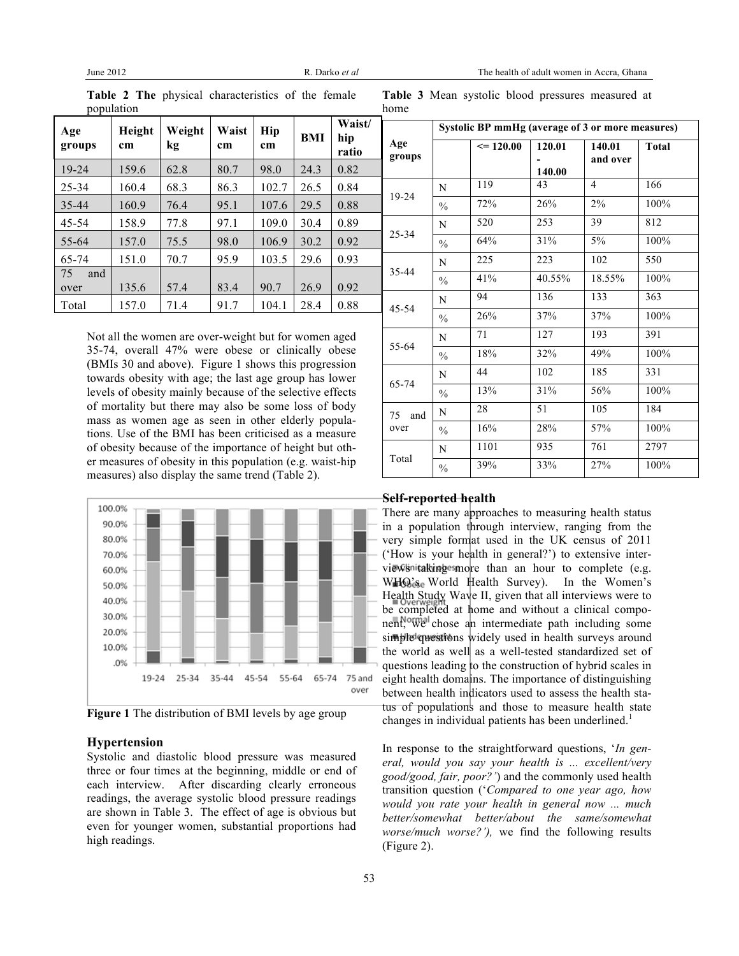| Age<br>groups | Height<br>cm | Weight<br>kg | Waist<br>cm | Hip<br>cm | BMI  | Waist/<br>hip<br>ratio |
|---------------|--------------|--------------|-------------|-----------|------|------------------------|
| 19-24         | 159.6        | 62.8         | 80.7        | 98.0      | 24.3 | 0.82                   |
| 25-34         | 160.4        | 68.3         | 86.3        | 102.7     | 26.5 | 0.84                   |
| 35-44         | 160.9        | 76.4         | 95.1        | 107.6     | 29.5 | 0.88                   |
| 45-54         | 158.9        | 77.8         | 97.1        | 109.0     | 30.4 | 0.89                   |
| 55-64         | 157.0        | 75.5         | 98.0        | 106.9     | 30.2 | 0.92                   |
| 65-74         | 151.0        | 70.7         | 95.9        | 103.5     | 29.6 | 0.93                   |
| 75<br>and     |              |              |             |           |      |                        |
| over          | 135.6        | 57.4         | 83.4        | 90.7      | 26.9 | 0.92                   |
| Total         | 157.0        | 71.4         | 91.7        | 104.1     | 28.4 | 0.88                   |

**Table 2 The** physical characteristics of the female population

**Table 3** Mean systolic blood pressures measured at home

Not all the women are over-weight but for women aged 35-74, overall 47% were obese or clinically obese (BMIs 30 and above). Figure 1 shows this progression towards obesity with age; the last age group has lower levels of obesity mainly because of the selective effects of mortality but there may also be some loss of body mass as women age as seen in other elderly populations. Use of the BMI has been criticised as a measure of obesity because of the importance of height but other measures of obesity in this population (e.g. waist-hip measures) also display the same trend (Table 2).



**Figure 1** The distribution of BMI levels by age group

#### **Hypertension**

Systolic and diastolic blood pressure was measured three or four times at the beginning, middle or end of each interview. After discarding clearly erroneous readings, the average systolic blood pressure readings are shown in Table 3. The effect of age is obvious but even for younger women, substantial proportions had high readings.

|                   | Systolic BP mmHg (average of 3 or more measures) |               |                  |                    |              |  |  |  |
|-------------------|--------------------------------------------------|---------------|------------------|--------------------|--------------|--|--|--|
| Age<br>groups     |                                                  | $\leq$ 120.00 | 120.01<br>140.00 | 140.01<br>and over | <b>Total</b> |  |  |  |
|                   | N                                                | 119           | 43               | 4                  | 166          |  |  |  |
| 19-24             | $\frac{0}{0}$                                    | 72%           | 26%              | 2%                 | 100%         |  |  |  |
|                   | N                                                | 520           | 253              | 39                 | 812          |  |  |  |
| 25-34             | $\frac{0}{0}$                                    | 64%           | 31%              | 5%                 | 100%         |  |  |  |
|                   | N                                                | 225           | 223              | 102                | 550          |  |  |  |
| 35-44             | $\frac{0}{0}$                                    | 41%           | 40.55%           | 18.55%             | 100%         |  |  |  |
|                   | N                                                | 94            | 136              | 133                | 363          |  |  |  |
| 45-54             | $\frac{0}{0}$                                    | 26%           | 37%              | 37%                | 100%         |  |  |  |
|                   | N                                                | 71            | 127              | 193                | 391          |  |  |  |
| 55-64             | $\frac{0}{0}$                                    | 18%           | 32%              | 49%                | 100%         |  |  |  |
| 65-74             | N                                                | 44            | 102              | 185                | 331          |  |  |  |
|                   | $\frac{0}{0}$                                    | 13%           | 31%              | 56%                | 100%         |  |  |  |
| 75<br>and<br>over | N                                                | 28            | 51               | 105                | 184          |  |  |  |
|                   | $\frac{0}{0}$                                    | 16%           | 28%              | 57%                | 100%         |  |  |  |
|                   | N                                                | 1101          | 935              | 761                | 2797         |  |  |  |
| Total             | $\frac{0}{0}$                                    | 39%           | 33%              | 27%                | 100%         |  |  |  |

#### **Self-reported health**

There are many approaches to measuring health status in a population through interview, ranging from the very simple format used in the UK census of 2011 ('How is your health in general?') to extensive interviews initaking esmore than an hour to complete (e.g. WHO's World Health Survey). In the Women's Health Study Wave II, given that all interviews were to be completed at home and without a clinical component, we chose an intermediate path including some simple questions widely used in health surveys around the world as well as a well-tested standardized set of questions leading to the construction of hybrid scales in eight health domains. The importance of distinguishing between health indicators used to assess the health status of populations and those to measure health state changes in individual patients has been underlined.<sup>1</sup>

In response to the straightforward questions, '*In general, would you say your health is ... excellent/very good/good, fair, poor?'*) and the commonly used health transition question ('*Compared to one year ago, how would you rate your health in general now ... much better/somewhat better/about the same/somewhat worse/much worse?'),* we find the following results (Figure 2).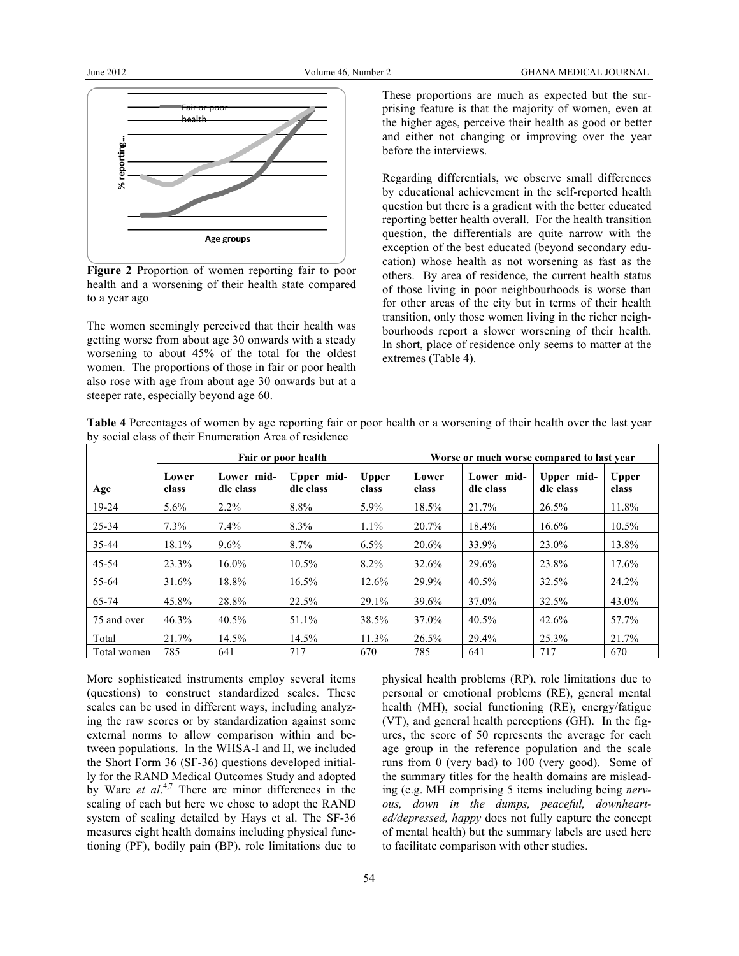

**Figure 2** Proportion of women reporting fair to poor health and a worsening of their health state compared to a year ago

The women seemingly perceived that their health was getting worse from about age 30 onwards with a steady worsening to about 45% of the total for the oldest women. The proportions of those in fair or poor health also rose with age from about age 30 onwards but at a steeper rate, especially beyond age 60.

These proportions are much as expected but the surprising feature is that the majority of women, even at the higher ages, perceive their health as good or better and either not changing or improving over the year before the interviews.

Regarding differentials, we observe small differences by educational achievement in the self-reported health question but there is a gradient with the better educated reporting better health overall. For the health transition question, the differentials are quite narrow with the exception of the best educated (beyond secondary education) whose health as not worsening as fast as the others. By area of residence, the current health status of those living in poor neighbourhoods is worse than for other areas of the city but in terms of their health transition, only those women living in the richer neighbourhoods report a slower worsening of their health. In short, place of residence only seems to matter at the extremes (Table 4).

**Table 4** Percentages of women by age reporting fair or poor health or a worsening of their health over the last year by social class of their Enumeration Area of residence

|             | Fair or poor health |                         |                         |                       |                | Worse or much worse compared to last year |                         |                       |  |
|-------------|---------------------|-------------------------|-------------------------|-----------------------|----------------|-------------------------------------------|-------------------------|-----------------------|--|
| Age         | Lower<br>class      | Lower mid-<br>dle class | Upper mid-<br>dle class | <b>Upper</b><br>class | Lower<br>class | Lower mid-<br>dle class                   | Upper mid-<br>dle class | <b>Upper</b><br>class |  |
| $19-24$     | $5.6\%$             | $2.2\%$                 | 8.8%                    | $5.9\%$               | 18.5%          | 21.7%                                     | 26.5%                   | 11.8%                 |  |
| $25 - 34$   | $7.3\%$             | $7.4\%$                 | 8.3%                    | $1.1\%$               | 20.7%          | 18.4%                                     | 16.6%                   | $10.5\%$              |  |
| 35-44       | 18.1%               | $9.6\%$                 | $8.7\%$                 | $6.5\%$               | 20.6%          | 33.9%                                     | 23.0%                   | 13.8%                 |  |
| 45-54       | 23.3%               | $16.0\%$                | $10.5\%$                | $8.2\%$               | 32.6%          | 29.6%                                     | 23.8%                   | 17.6%                 |  |
| 55-64       | 31.6%               | 18.8%                   | $16.5\%$                | 12.6%                 | 29.9%          | 40.5%                                     | 32.5%                   | 24.2%                 |  |
| 65-74       | 45.8%               | 28.8%                   | 22.5%                   | 29.1%                 | 39.6%          | 37.0%                                     | 32.5%                   | 43.0%                 |  |
| 75 and over | 46.3%               | $40.5\%$                | 51.1%                   | 38.5%                 | 37.0%          | 40.5%                                     | 42.6%                   | 57.7%                 |  |
| Total       | 21.7%               | 14.5%                   | $14.5\%$                | 11.3%                 | 26.5%          | 29.4%                                     | 25.3%                   | 21.7%                 |  |
| Total women | 785                 | 641                     | 717                     | 670                   | 785            | 641                                       | 717                     | 670                   |  |

More sophisticated instruments employ several items (questions) to construct standardized scales. These scales can be used in different ways, including analyzing the raw scores or by standardization against some external norms to allow comparison within and between populations. In the WHSA-I and II, we included the Short Form 36 (SF-36) questions developed initially for the RAND Medical Outcomes Study and adopted by Ware *et al.*<sup>4,7</sup> There are minor differences in the scaling of each but here we chose to adopt the RAND system of scaling detailed by Hays et al. The SF-36 measures eight health domains including physical functioning (PF), bodily pain (BP), role limitations due to

physical health problems (RP), role limitations due to personal or emotional problems (RE), general mental health (MH), social functioning (RE), energy/fatigue (VT), and general health perceptions (GH). In the figures, the score of 50 represents the average for each age group in the reference population and the scale runs from 0 (very bad) to 100 (very good). Some of the summary titles for the health domains are misleading (e.g. MH comprising 5 items including being *nervous, down in the dumps, peaceful, downhearted/depressed, happy* does not fully capture the concept of mental health) but the summary labels are used here to facilitate comparison with other studies.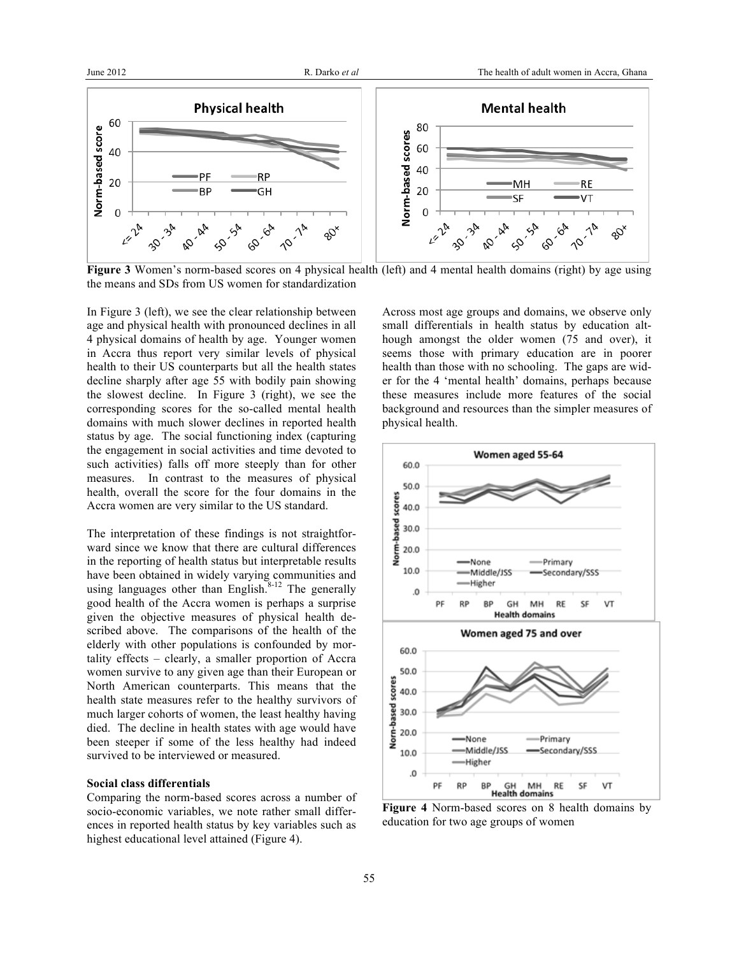

**Figure 3** Women's norm-based scores on 4 physical health (left) and 4 mental health domains (right) by age using the means and SDs from US women for standardization

In Figure 3 (left), we see the clear relationship between age and physical health with pronounced declines in all 4 physical domains of health by age. Younger women in Accra thus report very similar levels of physical health to their US counterparts but all the health states decline sharply after age 55 with bodily pain showing the slowest decline. In Figure 3 (right), we see the corresponding scores for the so-called mental health domains with much slower declines in reported health status by age. The social functioning index (capturing the engagement in social activities and time devoted to such activities) falls off more steeply than for other measures. In contrast to the measures of physical health, overall the score for the four domains in the Accra women are very similar to the US standard.

The interpretation of these findings is not straightforward since we know that there are cultural differences in the reporting of health status but interpretable results have been obtained in widely varying communities and using languages other than English. $8-12$  The generally good health of the Accra women is perhaps a surprise given the objective measures of physical health described above. The comparisons of the health of the elderly with other populations is confounded by mortality effects – clearly, a smaller proportion of Accra women survive to any given age than their European or North American counterparts. This means that the health state measures refer to the healthy survivors of much larger cohorts of women, the least healthy having died. The decline in health states with age would have been steeper if some of the less healthy had indeed survived to be interviewed or measured.

#### **Social class differentials**

Comparing the norm-based scores across a number of socio-economic variables, we note rather small differences in reported health status by key variables such as highest educational level attained (Figure 4).

Across most age groups and domains, we observe only small differentials in health status by education although amongst the older women (75 and over), it seems those with primary education are in poorer health than those with no schooling. The gaps are wider for the 4 'mental health' domains, perhaps because these measures include more features of the social background and resources than the simpler measures of physical health.



**Figure 4** Norm-based scores on 8 health domains by education for two age groups of women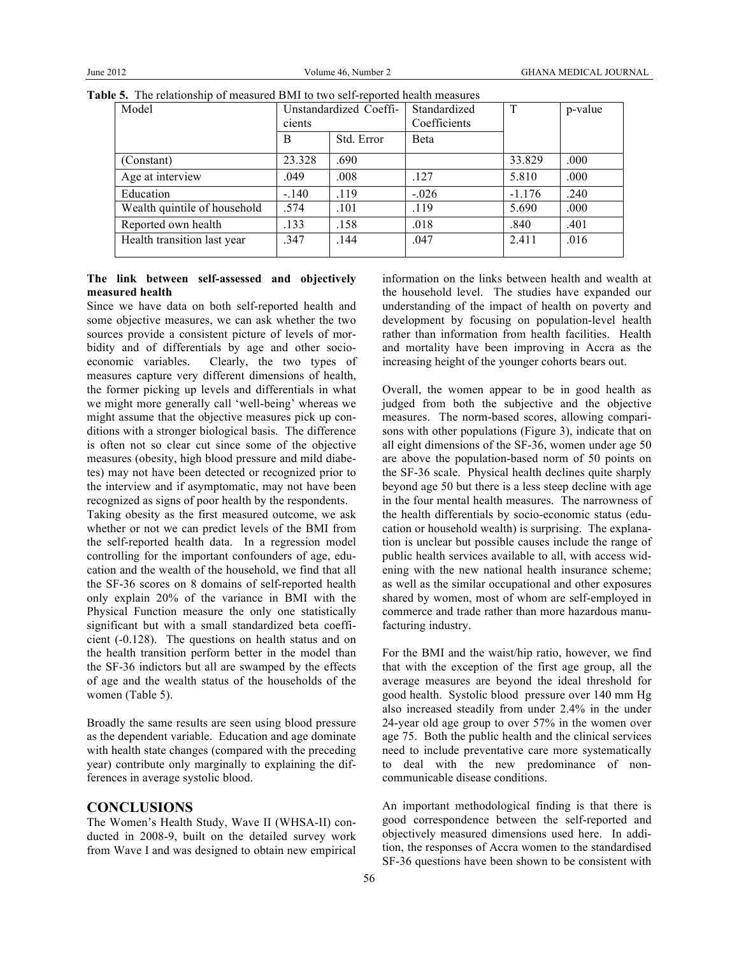| Model                        | Unstandardized Coeffi-<br>cients |            | Standardized<br>Coefficients | T        | p-value |
|------------------------------|----------------------------------|------------|------------------------------|----------|---------|
|                              | B                                | Std. Error | <b>B</b> eta                 |          |         |
| (Constant)                   | 23.328                           | .690       |                              | 33.829   | .000    |
| Age at interview             | .049                             | .008       | .127                         | 5.810    | .000    |
| Education                    | $-.140$                          | .119       | $-.026$                      | $-1.176$ | .240    |
| Wealth quintile of household | .574                             | .101       | .119                         | 5.690    | .000    |
| Reported own health          | .133                             | .158       | .018                         | .840     | .401    |
| Health transition last year  | 347                              | .144       | .047                         | 2.411    | .016    |

**Table 5.** The relationship of measured BMI to two self-reported health measures

## **The link between self-assessed and objectively measured health**

Since we have data on both self-reported health and some objective measures, we can ask whether the two sources provide a consistent picture of levels of morbidity and of differentials by age and other socioeconomic variables. Clearly, the two types of measures capture very different dimensions of health, the former picking up levels and differentials in what we might more generally call 'well-being' whereas we might assume that the objective measures pick up conditions with a stronger biological basis. The difference is often not so clear cut since some of the objective measures (obesity, high blood pressure and mild diabetes) may not have been detected or recognized prior to the interview and if asymptomatic, may not have been recognized as signs of poor health by the respondents.

Taking obesity as the first measured outcome, we ask whether or not we can predict levels of the BMI from the self-reported health data. In a regression model controlling for the important confounders of age, education and the wealth of the household, we find that all the SF-36 scores on 8 domains of self-reported health only explain 20% of the variance in BMI with the Physical Function measure the only one statistically significant but with a small standardized beta coefficient (-0.128). The questions on health status and on the health transition perform better in the model than the SF-36 indictors but all are swamped by the effects of age and the wealth status of the households of the women (Table 5).

Broadly the same results are seen using blood pressure as the dependent variable. Education and age dominate with health state changes (compared with the preceding year) contribute only marginally to explaining the differences in average systolic blood.

## **CONCLUSIONS**

The Women's Health Study, Wave II (WHSA-II) conducted in 2008-9, built on the detailed survey work from Wave I and was designed to obtain new empirical information on the links between health and wealth at the household level. The studies have expanded our understanding of the impact of health on poverty and development by focusing on population-level health rather than information from health facilities. Health and mortality have been improving in Accra as the increasing height of the younger cohorts bears out.

Overall, the women appear to be in good health as judged from both the subjective and the objective measures. The norm-based scores, allowing comparisons with other populations (Figure 3), indicate that on all eight dimensions of the SF-36, women under age 50 are above the population-based norm of 50 points on the SF-36 scale. Physical health declines quite sharply beyond age 50 but there is a less steep decline with age in the four mental health measures. The narrowness of the health differentials by socio-economic status (education or household wealth) is surprising. The explanation is unclear but possible causes include the range of public health services available to all, with access widening with the new national health insurance scheme; as well as the similar occupational and other exposures shared by women, most of whom are self-employed in commerce and trade rather than more hazardous manufacturing industry.

For the BMI and the waist/hip ratio, however, we find that with the exception of the first age group, all the average measures are beyond the ideal threshold for good health. Systolic blood pressure over 140 mm Hg also increased steadily from under 2.4% in the under 24-year old age group to over 57% in the women over age 75. Both the public health and the clinical services need to include preventative care more systematically to deal with the new predominance of noncommunicable disease conditions.

An important methodological finding is that there is good correspondence between the self-reported and objectively measured dimensions used here. In addition, the responses of Accra women to the standardised SF-36 questions have been shown to be consistent with